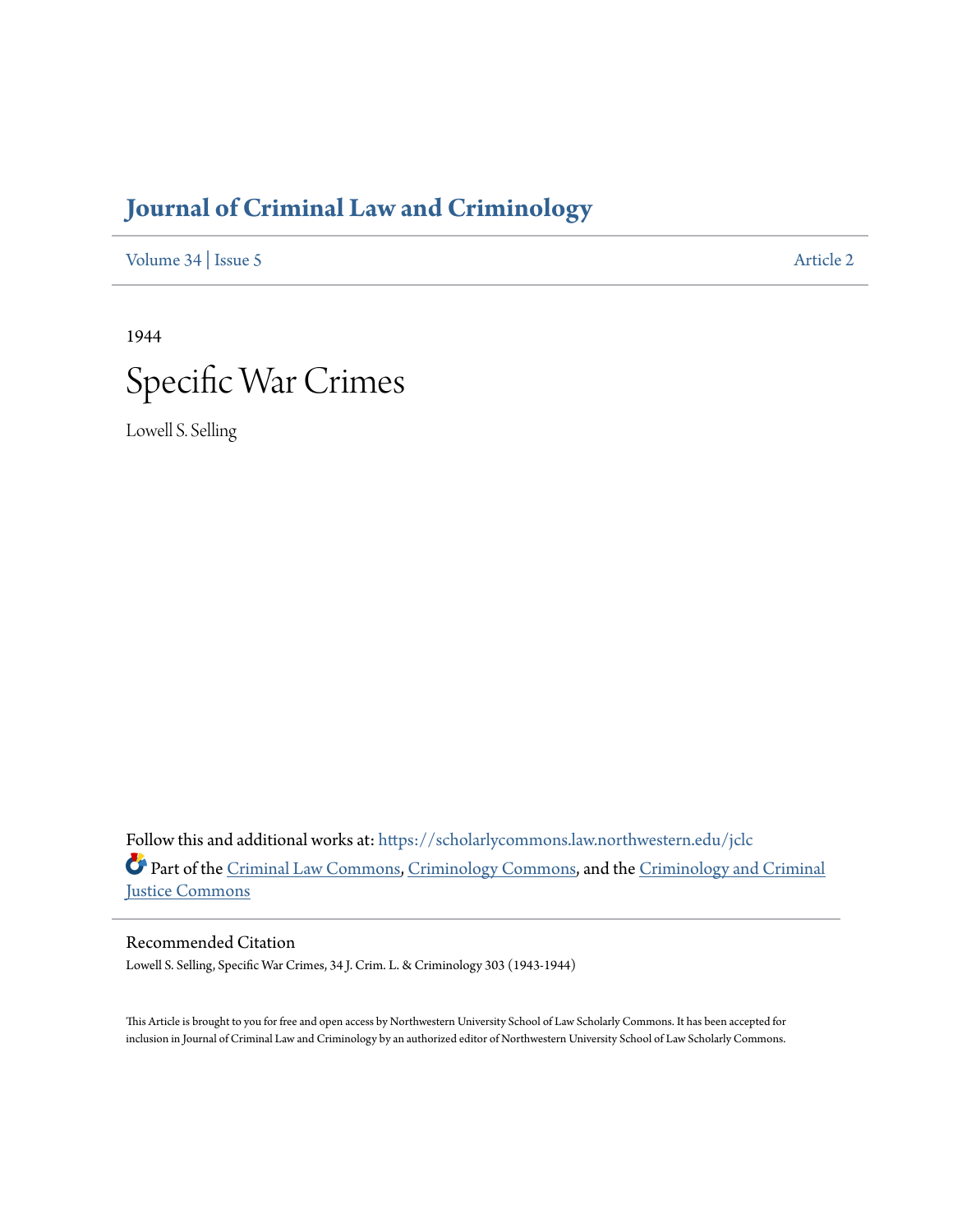# **[Journal of Criminal Law and Criminology](https://scholarlycommons.law.northwestern.edu/jclc?utm_source=scholarlycommons.law.northwestern.edu%2Fjclc%2Fvol34%2Fiss5%2F2&utm_medium=PDF&utm_campaign=PDFCoverPages)**

[Volume 34](https://scholarlycommons.law.northwestern.edu/jclc/vol34?utm_source=scholarlycommons.law.northwestern.edu%2Fjclc%2Fvol34%2Fiss5%2F2&utm_medium=PDF&utm_campaign=PDFCoverPages) | [Issue 5](https://scholarlycommons.law.northwestern.edu/jclc/vol34/iss5?utm_source=scholarlycommons.law.northwestern.edu%2Fjclc%2Fvol34%2Fiss5%2F2&utm_medium=PDF&utm_campaign=PDFCoverPages) [Article 2](https://scholarlycommons.law.northwestern.edu/jclc/vol34/iss5/2?utm_source=scholarlycommons.law.northwestern.edu%2Fjclc%2Fvol34%2Fiss5%2F2&utm_medium=PDF&utm_campaign=PDFCoverPages)

1944 Specific War Crimes

Lowell S. Selling

Follow this and additional works at: [https://scholarlycommons.law.northwestern.edu/jclc](https://scholarlycommons.law.northwestern.edu/jclc?utm_source=scholarlycommons.law.northwestern.edu%2Fjclc%2Fvol34%2Fiss5%2F2&utm_medium=PDF&utm_campaign=PDFCoverPages) Part of the [Criminal Law Commons](http://network.bepress.com/hgg/discipline/912?utm_source=scholarlycommons.law.northwestern.edu%2Fjclc%2Fvol34%2Fiss5%2F2&utm_medium=PDF&utm_campaign=PDFCoverPages), [Criminology Commons](http://network.bepress.com/hgg/discipline/417?utm_source=scholarlycommons.law.northwestern.edu%2Fjclc%2Fvol34%2Fiss5%2F2&utm_medium=PDF&utm_campaign=PDFCoverPages), and the [Criminology and Criminal](http://network.bepress.com/hgg/discipline/367?utm_source=scholarlycommons.law.northwestern.edu%2Fjclc%2Fvol34%2Fiss5%2F2&utm_medium=PDF&utm_campaign=PDFCoverPages) [Justice Commons](http://network.bepress.com/hgg/discipline/367?utm_source=scholarlycommons.law.northwestern.edu%2Fjclc%2Fvol34%2Fiss5%2F2&utm_medium=PDF&utm_campaign=PDFCoverPages)

Recommended Citation

Lowell S. Selling, Specific War Crimes, 34 J. Crim. L. & Criminology 303 (1943-1944)

This Article is brought to you for free and open access by Northwestern University School of Law Scholarly Commons. It has been accepted for inclusion in Journal of Criminal Law and Criminology by an authorized editor of Northwestern University School of Law Scholarly Commons.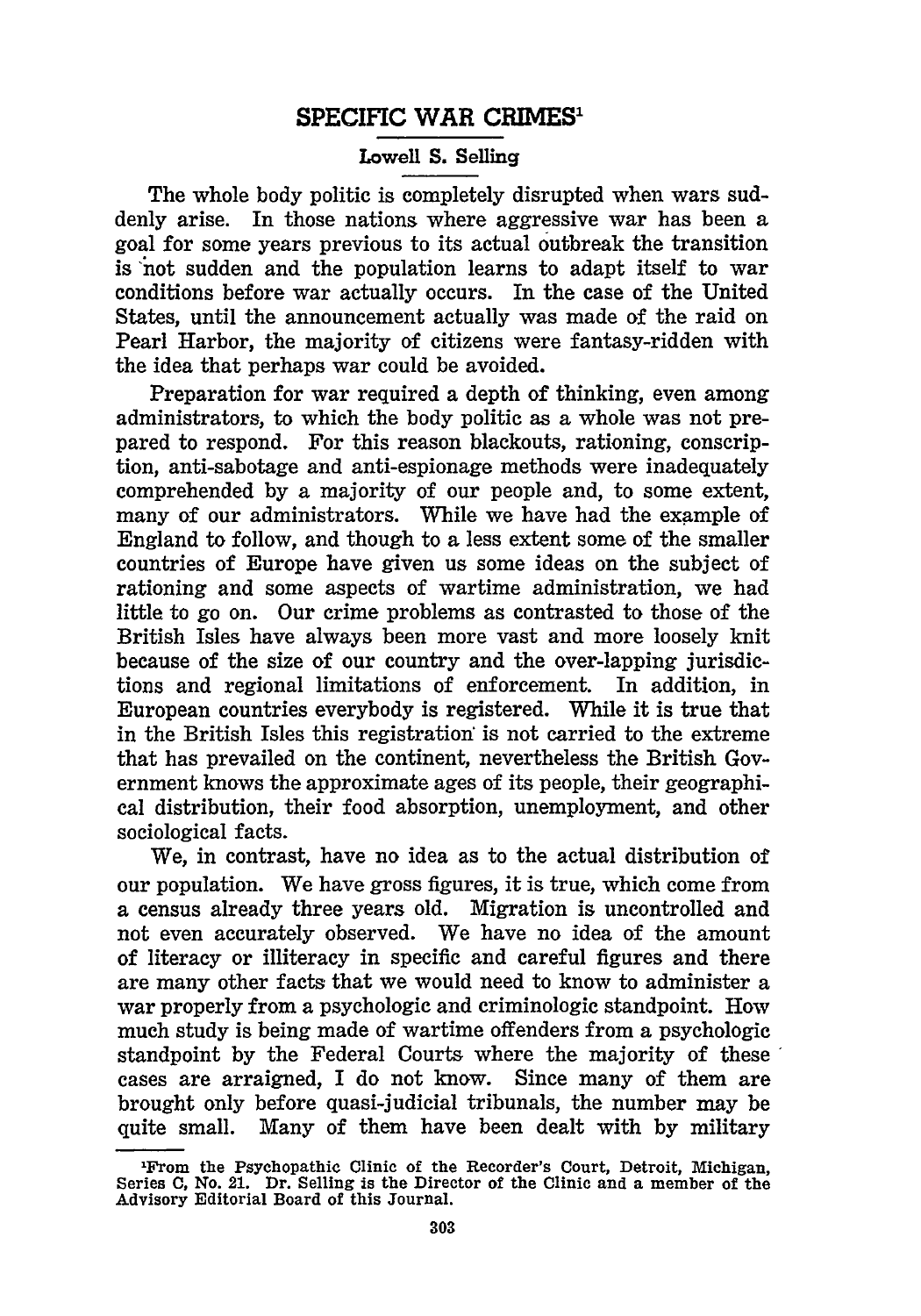# **SPECIFIC WAR CRIMES'**

## Lowell **S. Selling**

The whole body politic is completely disrupted when wars suddenly arise. In those nations where aggressive war has been a goal for some years previous to its actual outbreak the transition is 'not sudden and the population learns to adapt itself to war conditions before war actually occurs. In the case of the United States, until the announcement actually was made of the raid on Pearl Harbor, the majority of citizens were fantasy-ridden with the idea that perhaps war could be avoided.

Preparation for war required a depth of thinking, even among administrators, to which the body politic as a whole was not prepared to respond. For this reason blackouts, rationing, conscription, anti-sabotage and anti-espionage methods were inadequately comprehended by a majority of our people and, to some extent, many of our administrators. While we have had the example of England to follow, and though to a less extent some of the smaller countries of Europe have given us some ideas on the subject of rationing and some aspects of wartime administration, we had little to go on. Our crime problems as contrasted to those of the British Isles have always been more vast and more loosely knit because of the size of our country and the over-lapping jurisdictions and regional limitations of enforcement. In addition, in European countries everybody is registered. While it is true that in the British Isles this registration is not carried to the extreme that has prevailed on the continent, nevertheless the British Government knows the approximate ages of its people, their geographical distribution, their food absorption, unemployment, and other sociological facts.

We, in contrast, have no idea as to the actual distribution of our population. We have gross figures, it is true, which come from a census already three years old. Migration is uncontrolled and not even accurately observed. We have no idea of the amount of literacy or illiteracy in specific and careful figures and there are many other facts that we would need to know to administer a war properly from a psychologic and criminologic standpoint. How much study is being made of wartime offenders from a psychologic standpoint **by** the Federal Courts where the majority of these cases are arraigned, I do not know. Since many of them are brought only before quasi-judicial tribunals, the number may be quite small. Many of them have been dealt with by military

<sup>&#</sup>x27;From the Psychopathic Clinic of the Recorder's Court, Detroit, Michigan, Series **C,** No. 21. Dr. Selling is the Director of the Clinic and a member of the Advisory Editorial Board of this Journal.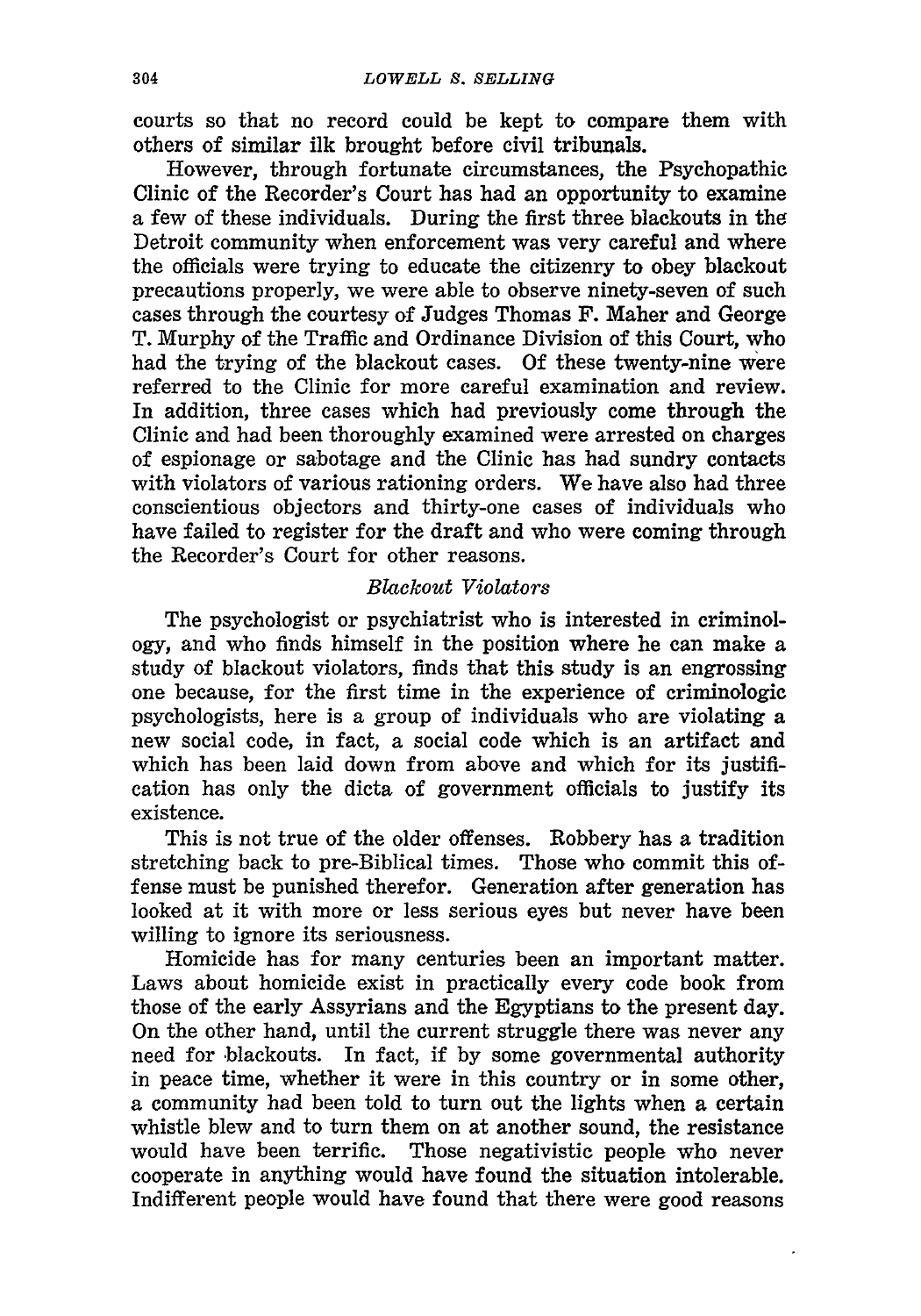courts so that no record could be kept to compare them with others of similar ilk brought before civil tribunals.

However, through fortunate circumstances, the Psychopathic Clinic of the Recorder's Court has had an opportunity to examine a few of these individuals. During the first three blackouts in the Detroit community when enforcement was very careful and where the officials were trying to educate the citizenry to obey blackoat precautions properly, we were able to observe ninety-seven of such cases through the courtesy of Judges Thomas F. Maher and George T. Murphy of the Traffic and Ordinance Division of this Court, who had the trying of the blackout cases. Of these twenty-nine were referred to the Clinic for more careful examination and review. In addition, three cases which had previously come through the Clinic and had been thoroughly examined were arrested on charges of espionage or sabotage and the Clinic has had sundry contacts with violators of various rationing orders. We have also had three conscientious objectors and thirty-one cases of individuals who have failed to register for the draft and who were coming through the Recorder's Court for other reasons.

#### *Blackout Violators*

The psychologist or psychiatrist who is interested in criminology, and who finds himself in the position where he can make a study of blackout violators, finds that this study is an engrossing one because, for the first time in the experience of criminologic psychologists, here is a group of individuals who are violating a new social code, in fact, a social code which is an artifact and which has been laid down from above and which for its justification has only the dicta of government officials to justify its existence.

This is not true of the older offenses. Robbery has a tradition stretching back to pre-Biblical times. Those who commit this offense must be punished therefor. Generation after generation has looked at it with more or less serious eyes but never have been willing to ignore its seriousness.

Homicide has for many centuries been an important matter. Laws about homicide exist in practically every code book from those of the early Assyrians and the Egyptians to the present day. On the other hand, until the current struggle there was never any need for blackouts. In fact, **if** by some governmental authority in peace time, whether it were in this country or in some other, a community had been told to turn out the lights when a certain whistle blew and to turn them on at another sound, the resistance would have been terrific. Those negativistic people who never cooperate in anything would have found the situation intolerable. Indifferent people would have found that there were good reasons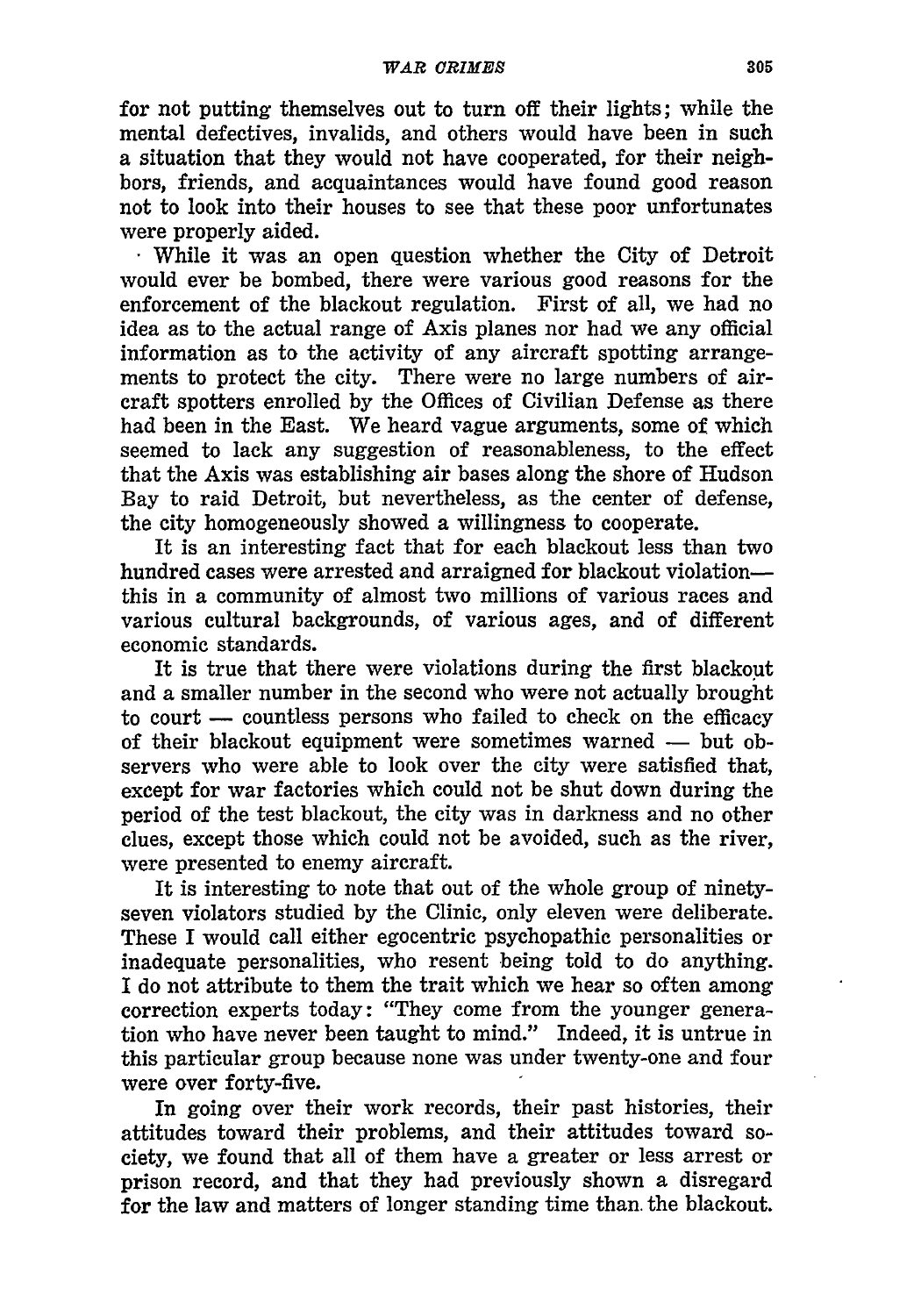for not putting themselves out to turn off their lights; while the mental defectives, invalids, and others would have been in such a situation that they would not have cooperated, for their neighbors, friends, and acquaintances would have found good reason not to look into their houses to see that these poor unfortunates were properly aided.<br>*.* While it was an open question whether the City of Detroit

would ever be bombed, there were various good reasons for the enforcement of the blackout regulation. First of all, we had no idea as to the actual range of Axis planes nor had we any official information as to the activity of any aircraft spotting arrangements to protect the city. There were no large numbers of aircraft spotters enrolled by the Offices of Civilian Defense as there had been in the East. We heard vague arguments, some of which seemed to lack any suggestion of reasonableness, to the effect that the Axis was establishing air bases along the shore of Hudson Bay to raid Detroit, but nevertheless, as the center of defense, the city homogeneously showed a willingness to cooperate.

It is an interesting fact that for each blackout less than two hundred cases were arrested and arraigned for blackout violation this in a community of almost two millions of various races and various cultural backgrounds, of various ages, and of different economic standards.

It is true that there were violations during the first blackout and a smaller number in the second who were not actually brought to court **-** countless persons who failed to check on the efficacy of their blackout equipment were sometimes warned - but observers who were able to look over the city were satisfied that, except for war factories which could not be shut down during the period of the test blackout, the city was in darkness and no other clues, except those which could not be avoided, such as the river, were presented to enemy aircraft.

It is interesting to note that out of the whole group of ninetyseven violators studied by the Clinic, only eleven were deliberate. These I would call either egocentric psychopathic personalities or inadequate personalities, who resent being told to do anything. I do not attribute to them the trait which we hear so often among correction experts today: "They come from the younger generation who have never been taught to mind." Indeed, it is untrue in this particular group because none was under twenty-one and four were over forty-five.

In going over their work records, their past histories, their attitudes toward their problems, and their attitudes toward society, we found that all of them have a greater or less arrest or prison record, and that they had previously shown a disregard for the law and matters of longer standing time than. the blackout.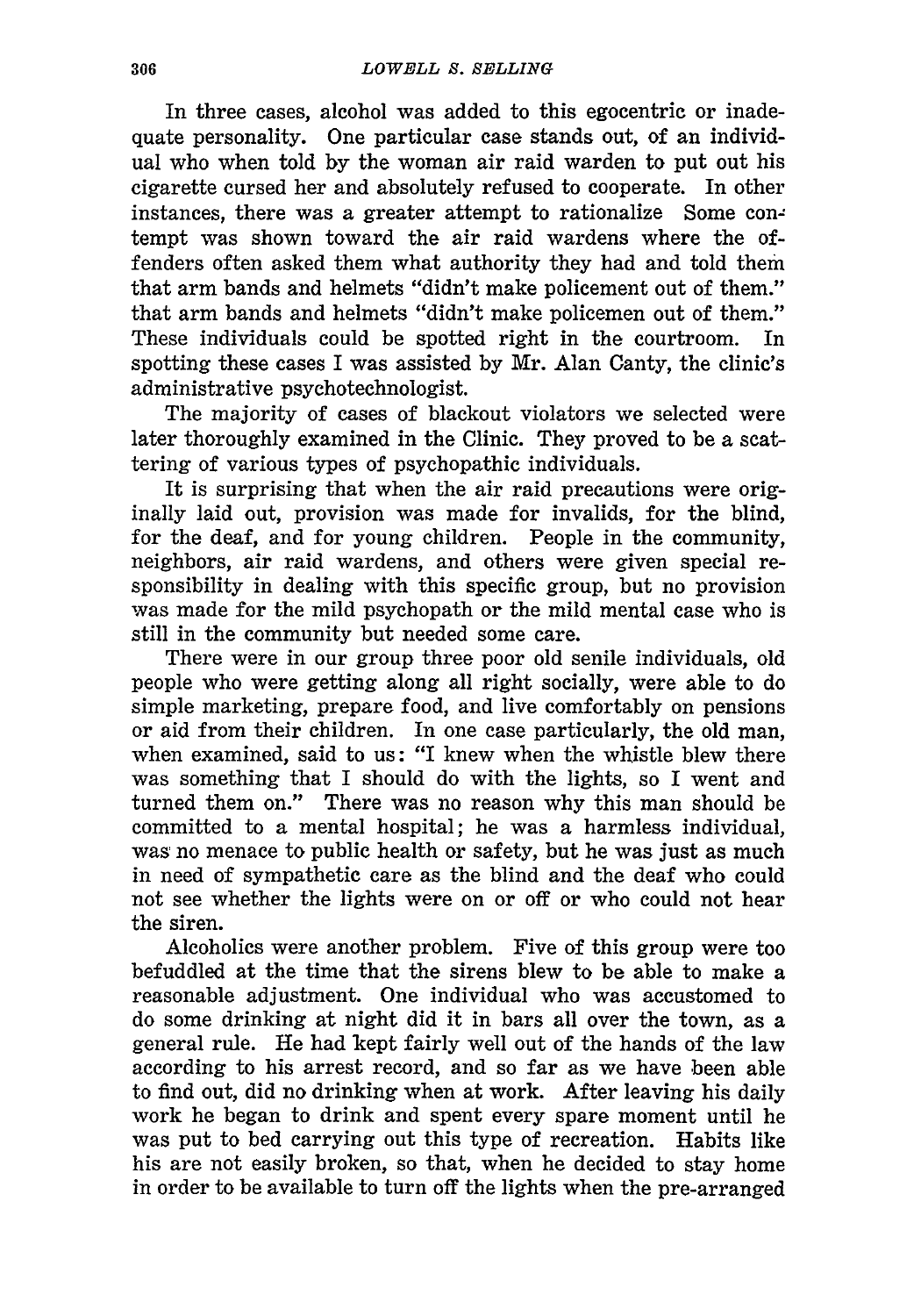In three cases, alcohol was added to this egocentric or inadequate personality. One particular case stands out, of an individual who when told by the woman air raid warden to put out his cigarette cursed her and absolutely refused to cooperate. In other instances, there was a greater attempt to rationalize Some contempt was shown toward the air raid wardens where the offenders often asked them what authority they had and told them that arm bands and helmets "didn't make policement out of them." that arm bands and helmets "didn't make policemen out of them." These individuals could be spotted right in the courtroom. In spotting these cases I was assisted by Mr. Alan Canty, the clinic's administrative psychotechnologist.

The majority of cases of blackout violators we selected were later thoroughly examined in the Clinic. They proved to be a scattering of various types of psychopathic individuals.

It is surprising that when the air raid precautions were originally laid out, provision was made for invalids, for the blind, for the deaf, and for young children. People in the community, neighbors, air raid wardens, and others were given special responsibility in dealing with this specific group, but no provision was made for the mild psychopath or the mild mental case who is still in the community but needed some care.

There were in our group three poor old senile individuals, old people who were getting along all right socially, were able to do simple marketing, prepare food, and live comfortably on pensions or aid from their children. In one case particularly, the old man, when examined, said to us: "I knew when the whistle blew there was something that I should do with the lights, so I went and turned them on." There was no reason why this man should be committed to a mental hospital; he was a harmless individual, was no menace to public health or safety, but he was just as much in need of sympathetic care as the blind and the deaf who could not see whether the lights were on or off or who could not hear the siren.

Alcoholics were another problem. Five of this group were too befuddled at the time that the sirens blew to be able to make a reasonable adjustment. One individual who was accustomed to do some drinking at night did it in bars all over the town, as a general rule. He had kept fairly well out of the hands **of** the law according to his arrest record, and so far as we have been able to find out, did no drinking when at work. After leaving his daily work he began to drink and spent every spare moment until he was put to bed carrying out this type of recreation. Habits like his are not easily broken, so that, when he decided to stay home in order to be available to turn off the lights when the pre-arranged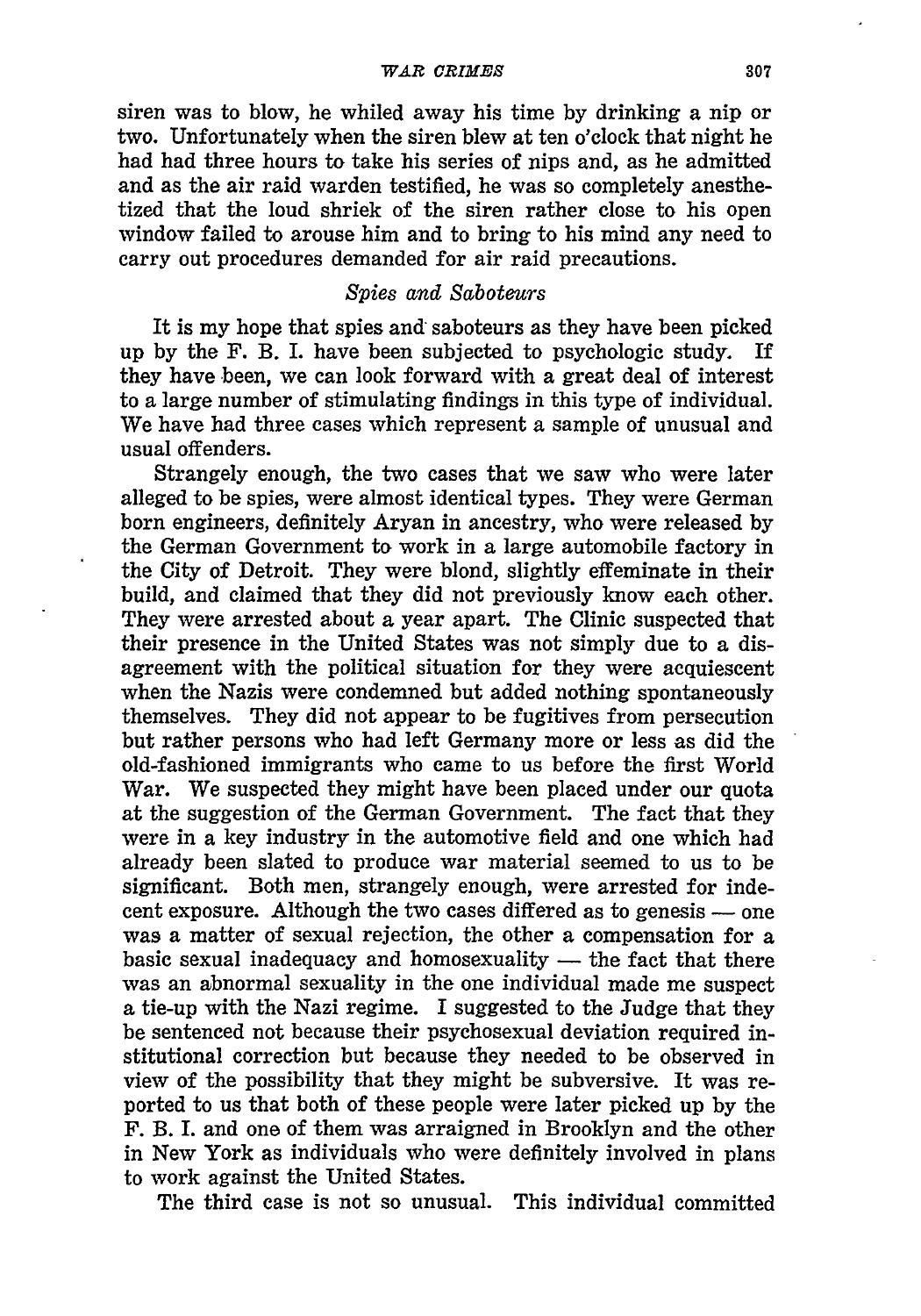siren was to blow, he whiled away his time **by** drinking a nip or two. Unfortunately when the siren blew at ten o'clock that night he had had three hours to take his series of nips and, as he admitted and as the air raid warden testified, he was so completely anesthetized that the loud shriek of the siren rather close to his open window failed to arouse him and to bring to his mind any need to carry out procedures demanded for air raid precautions.

# *Spies and Saboteurs*

It is my hope that spies and saboteurs as they have been picked up by the F. B. I. have been subjected to psychologic study. If they have been, we can look forward with a great deal of interest to a large number of stimulating findings in this type of individual. We have had three cases which represent a sample of unusual and usual offenders.

Strangely enough, the two cases that we saw who were later alleged to be spies, were almost identical types. They were German born engineers, definitely Aryan in ancestry, who were released by the German Government to work in a large automobile factory in the City of Detroit. They were blond, slightly effeminate in their build, and claimed that they did not previously know each other. They were arrested about a year apart. The Clinic suspected that their presence in the United States was not simply due to a disagreement with the political situation for they were acquiescent when the Nazis were condemned but added nothing spontaneously themselves. They did not appear to be fugitives from persecution but rather persons who had left Germany more or less as did the old-fashioned immigrants who came to us before the first World War. We suspected they might have been placed under our quota at the suggestion of the German Government. The fact that they were in a key industry in the automotive field and one which had already been slated to produce war material seemed to us to be significant. Both men, strangely enough, were arrested for indecent exposure. Although the two cases differed as to genesis — one was a matter of sexual rejection, the other a compensation for a basic sexual inadequacy and homosexuality  $-$  the fact that there was an abnormal sexuality in the one individual made me suspect a tie-up with the Nazi regime. I suggested to the Judge that they be sentenced not because their psychosexual deviation required institutional correction but because they needed to be observed in view of the possibility that they might be subversive. It was reported to us that both of these people were later picked up by the F. B. I. and one of them was arraigned in Brooklyn and the other in New York as individuals who were definitely involved in plans to work against the United States.

The third case is not so unusual. This individual committed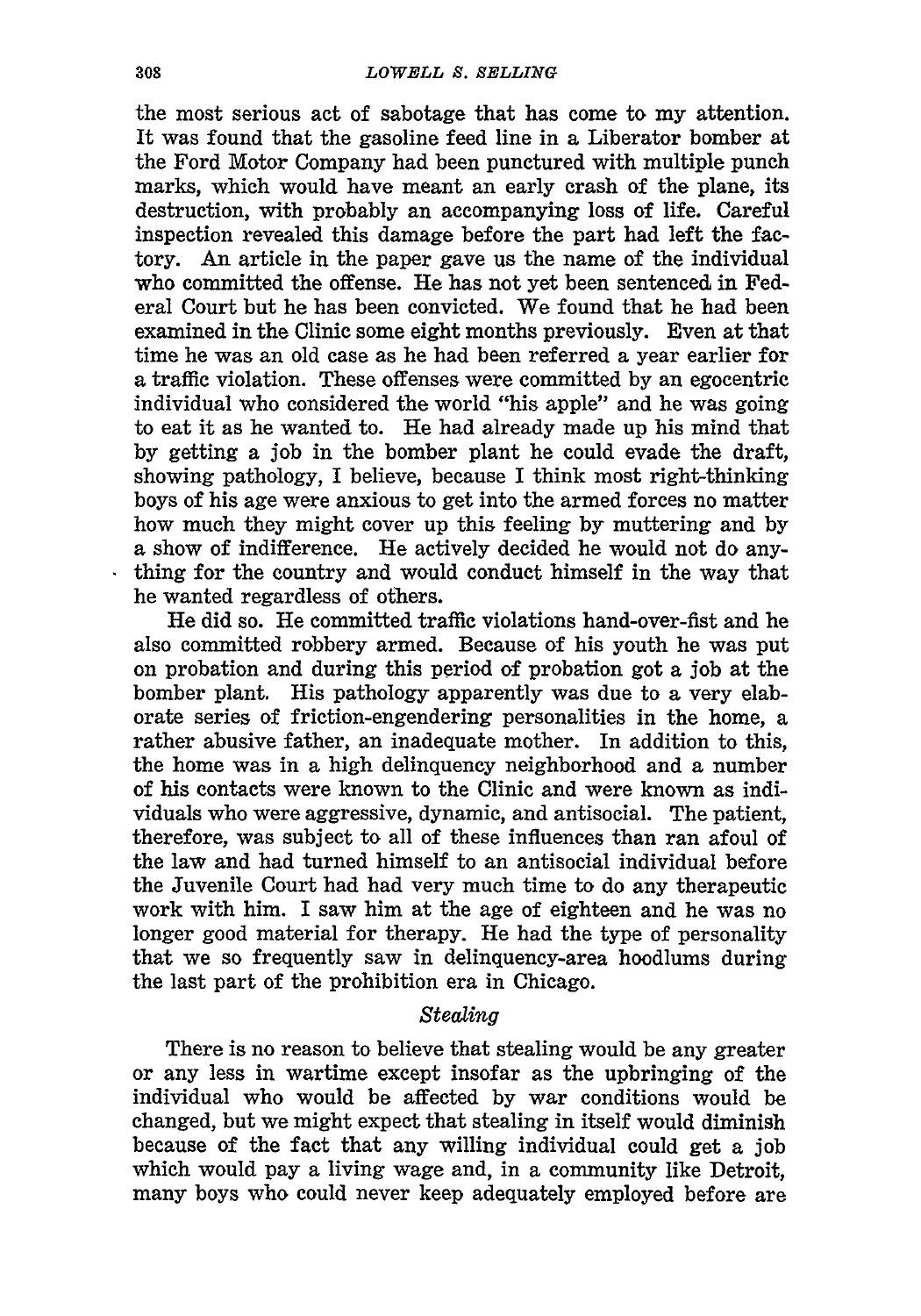the most serious act of sabotage that has come to my attention. It was found that the gasoline feed line in a Liberator bomber at the Ford Motor Company had been punctured with multiple punch marks, which would have meant an early crash of the plane, its destruction, with probably an accompanying loss of life. Careful inspection revealed this damage before the part had left the factory. An article in the paper gave us the name of the individual who committed the offense. He has not yet been sentenced in Federal Court but he has been convicted. We found that he had been examined in the Clinic some eight months previously. Even at that time he was an old case as he had been referred a year earlier for a traffic violation. These offenses were committed by an egocentric individual who considered the world "his apple" and he was going to eat it as he wanted to. He had already made up his mind that by getting a job in the bomber plant he could evade the draft, showing pathology, I believe, because I think most right-thinking boys of his age were anxious to get into the armed forces no matter how much they might cover up this feeling by muttering and by a show of indifference. He actively decided he would not do anything for the country and would conduct himself in the way that he wanted regardless of others.

He did so. He committed traffic violations hand-over-fist and he also committed robbery armed. Because of his youth he was put on probation and during this period of probation got a job at the bomber plant. His pathology apparently was due to a very elaborate series of friction-engendering personalities in the home, a rather abusive father, an inadequate mother. In addition to this, the home was in a high delinquency neighborhood and a number of his contacts were known to the Clinic and were known as individuals who were aggressive, dynamic, and antisocial. The patient, therefore, was subject to all of these influences than ran afoul of the law and had turned himself to an antisocial individual before the Juvenile Court had had very much time to do any therapeutic work with him. I saw him at the age of eighteen and he was no longer good material for therapy. He had the type of personality that we so frequently saw in delinquency-area hoodlums during the last part of the prohibition era in Chicago.

## *Stealing*

There is no reason to believe that stealing would be any greater or any less in wartime except insofar as the upbringing of the individual who would be affected by war conditions would be changed, but we might expect that stealing in itself would diminish because of the fact that any willing individual could get a job which would pay a living wage and, in a community like Detroit, many boys who could never keep adequately employed before are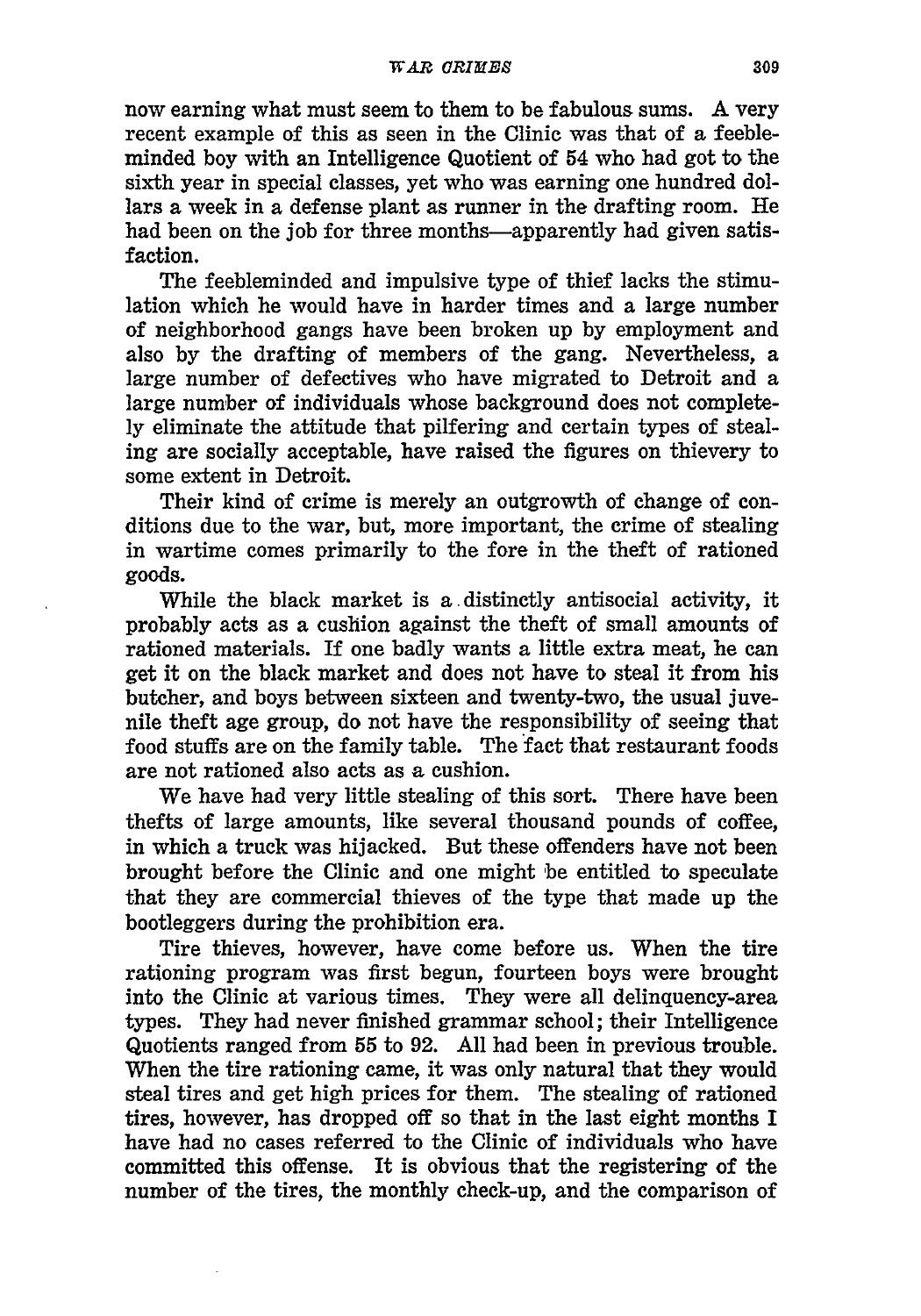now earning what must seem to them to be fabulous sums. A very recent example of this as seen in the Clinic was that of a feebleminded boy with an Intelligence Quotient of 54 who had got to the sixth year in special classes, yet who was earning one hundred dollars a week in a defense plant as runner in the drafting room. He had been on the job for three months-apparently had given satisfaction.

The feebleminded and impulsive type of thief lacks the stimulation which he would have in harder times and a large number of neighborhood gangs have been broken up by employment and also by the drafting of members of the gang. Nevertheless, a large number of defectives who have migrated to Detroit and a large number **of** individuals whose background does not completely eliminate the attitude that pilfering and certain types of stealing are socially acceptable, have raised the figures on thievery to some extent in Detroit.

Their kind of crime is merely an outgrowth of change of conditions due to the war, but, more important, the crime of stealing in wartime comes primarily to the fore in the theft of rationed goods.

While the black market is a distinctly antisocial activity, it probably acts as a cushion against the theft of small amounts of rationed materials. If one badly wants a little extra meat, he can get it on the black market and does not have to steal it from his butcher, and boys between sixteen and twenty-two, the usual juvenile theft age group, do not have the responsibility of seeing that food stuffs are on the family table. The fact that restaurant foods are not rationed also acts as a cushion.

We have had very little stealing of this sort. There have been thefts of large amounts, like several thousand pounds of coffee, in which a truck was hijacked. But these offenders have not been brought before the Clinic and one might be entitled to speculate that they are commercial thieves of the type that made up the bootleggers during the prohibition era.

Tire thieves, however, have come before us. When the tire rationing program was first begun, fourteen boys were brought into the Clinic at various times. They were all delinquency-area types. They had never finished grammar school; their Intelligence Quotients ranged from **55** to **92. All** had been in previous trouble. When the tire rationing came, it was only natural that they would steal tires and get high prices for them. The stealing of rationed tires, however, has dropped off so that in the last eight months **I** have had no cases referred to the Clinic of individuals who have committed this offense. It is obvious that the registering of the number of the tires, the monthly check-up, and the comparison of